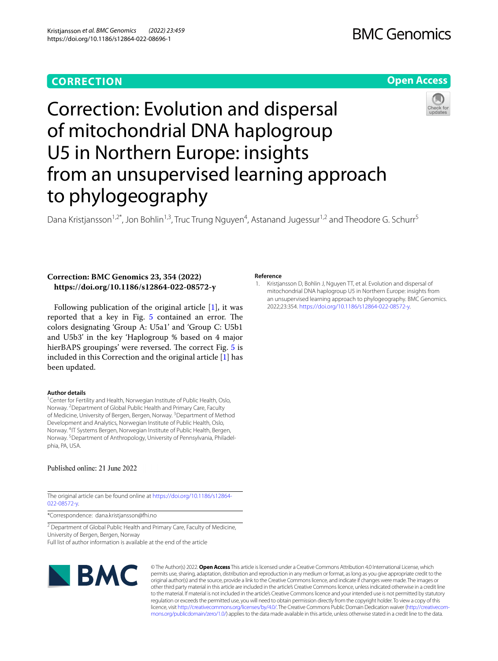## **CORRECTION**

# **BMC Genomics**

## **Open Access**



# Correction: Evolution and dispersal of mitochondrial DNA haplogroup U5 in Northern Europe: insights from an unsupervised learning approach to phylogeography

Dana Kristjansson<sup>1,2\*</sup>, Jon Bohlin<sup>1,3</sup>, Truc Trung Nguyen<sup>4</sup>, Astanand Jugessur<sup>1,2</sup> and Theodore G. Schurr<sup>5</sup>

### **Correction: BMC Genomics 23, 354 (2022) https://doi.org/10.1186/s12864-022-08572-y**

Following publication of the original article [\[1](#page-0-0)], it was reported that a key in Fig.  $5$  contained an error. The colors designating 'Group A: U5a1' and 'Group C: U5b1 and U5b3' in the key 'Haplogroup % based on 4 major hierBAPS groupings' were reversed. The correct Fig. [5](#page-1-0) is included in this Correction and the original article [\[1](#page-0-0)] has been updated.

#### **Author details**

<sup>1</sup> Center for Fertility and Health, Norwegian Institute of Public Health, Oslo, Norway. <sup>2</sup> Department of Global Public Health and Primary Care, Faculty of Medicine, University of Bergen, Bergen, Norway.<sup>3</sup> Department of Method Development and Analytics, Norwegian Institute of Public Health, Oslo, Norway. 4 IT Systems Bergen, Norwegian Institute of Public Health, Bergen, Norway. <sup>5</sup> Department of Anthropology, University of Pennsylvania, Philadelphia, PA, USA.

### Published online: 21 June 2022

The original article can be found online at [https://doi.org/10.1186/s12864-](https://doi.org/10.1186/s12864-022-08572-y) [022-08572-y](https://doi.org/10.1186/s12864-022-08572-y).

\*Correspondence: dana.kristjansson@fhi.no

<sup>2</sup> Department of Global Public Health and Primary Care, Faculty of Medicine, University of Bergen, Bergen, Norway Full list of author information is available at the end of the article

**NBMC** 

**Reference**

<span id="page-0-0"></span>1. Kristjansson D, Bohlin J, Nguyen TT, et al. Evolution and dispersal of mitochondrial DNA haplogroup U5 in Northern Europe: insights from an unsupervised learning approach to phylogeography. BMC Genomics. 2022;23:354.<https://doi.org/10.1186/s12864-022-08572-y>.

© The Author(s) 2022. **Open Access** This article is licensed under a Creative Commons Attribution 4.0 International License, which permits use, sharing, adaptation, distribution and reproduction in any medium or format, as long as you give appropriate credit to the original author(s) and the source, provide a link to the Creative Commons licence, and indicate if changes were made. The images or other third party material in this article are included in the article's Creative Commons licence, unless indicated otherwise in a credit line to the material. If material is not included in the article's Creative Commons licence and your intended use is not permitted by statutory regulation or exceeds the permitted use, you will need to obtain permission directly from the copyright holder. To view a copy of this licence, visit [http://creativecommons.org/licenses/by/4.0/.](http://creativecommons.org/licenses/by/4.0/) The Creative Commons Public Domain Dedication waiver ([http://creativecom](http://creativecommons.org/publicdomain/zero/1.0/)[mons.org/publicdomain/zero/1.0/\)](http://creativecommons.org/publicdomain/zero/1.0/) applies to the data made available in this article, unless otherwise stated in a credit line to the data.